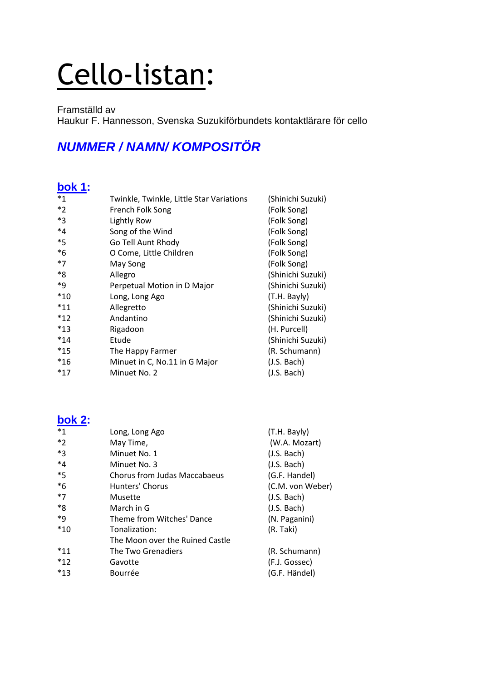# Cello-listan:

Framställd av Haukur F. Hannesson, Svenska Suzukiförbundets kontaktlärare för cello

## **NUMMER / NAMN/ KOMPOSITÖR**

#### **bok 1:**

| $*_{1}$ | Twinkle, Twinkle, Little Star Variations | (Shinichi Suzuki) |
|---------|------------------------------------------|-------------------|
| $*_{2}$ | French Folk Song                         | (Folk Song)       |
| $*3$    | Lightly Row                              | (Folk Song)       |
| $*_{4}$ | Song of the Wind                         | (Folk Song)       |
| $*5$    | Go Tell Aunt Rhody                       | (Folk Song)       |
| $*6$    | O Come, Little Children                  | (Folk Song)       |
| $*7$    | May Song                                 | (Folk Song)       |
| *8      | Allegro                                  | (Shinichi Suzuki) |
| *9      | Perpetual Motion in D Major              | (Shinichi Suzuki) |
| $*10$   | Long, Long Ago                           | (T.H. Bayly)      |
| $*11$   | Allegretto                               | (Shinichi Suzuki) |
| $*12$   | Andantino                                | (Shinichi Suzuki) |
| $*13$   | Rigadoon                                 | (H. Purcell)      |
| $*14$   | Etude                                    | (Shinichi Suzuki) |
| $*15$   | The Happy Farmer                         | (R. Schumann)     |
| $*16$   | Minuet in C, No.11 in G Major            | (J.S. Bach)       |
| $*17$   | Minuet No. 2                             | (J.S. Bach)       |

#### **bok 2:**

| $*_{1}$ | Long, Long Ago                  | (T.H. Bayly)     |
|---------|---------------------------------|------------------|
| $*_{2}$ | May Time,                       | (W.A. Mozart)    |
| $*_{3}$ | Minuet No. 1                    | (J.S. Bach)      |
| $*_{4}$ | Minuet No. 3                    | (J.S. Bach)      |
| $*_{5}$ | Chorus from Judas Maccabaeus    | (G.F. Handel)    |
| $*6$    | Hunters' Chorus                 | (C.M. von Weber) |
| $*7$    | Musette                         | (J.S. Bach)      |
| *8      | March in G                      | (J.S. Bach)      |
| *9      | Theme from Witches' Dance       | (N. Paganini)    |
| $*10$   | Tonalization:                   | (R. Taki)        |
|         | The Moon over the Ruined Castle |                  |
| $*11$   | The Two Grenadiers              | (R. Schumann)    |
| $*12$   | Gavotte                         | (F.J. Gossec)    |
| $*13$   | Bourrée                         | (G.F. Händel)    |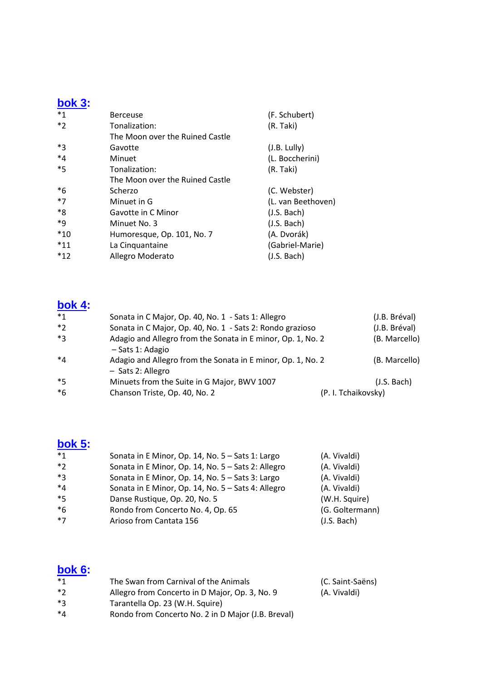#### **bok 3:**

| <b>Berceuse</b>                 | (F. Schubert)      |
|---------------------------------|--------------------|
| Tonalization:                   | (R. Taki)          |
| The Moon over the Ruined Castle |                    |
| Gavotte                         | (J.B. Lully)       |
| Minuet                          | (L. Boccherini)    |
| Tonalization:                   | (R. Taki)          |
| The Moon over the Ruined Castle |                    |
| Scherzo                         | (C. Webster)       |
| Minuet in G                     | (L. van Beethoven) |
| Gavotte in C Minor              | (J.S. Bach)        |
| Minuet No. 3                    | (J.S. Bach)        |
| Humoresque, Op. 101, No. 7      | (A. Dvorák)        |
| La Cinquantaine                 | (Gabriel-Marie)    |
| Allegro Moderato                | (J.S. Bach)        |
|                                 |                    |

#### **bok 4:**

| $*_{1}$ | Sonata in C Major, Op. 40, No. 1 - Sats 1: Allegro                               |                     | (J.B. Bréval) |
|---------|----------------------------------------------------------------------------------|---------------------|---------------|
| $*2$    | Sonata in C Major, Op. 40, No. 1 - Sats 2: Rondo grazioso                        |                     | (J.B. Bréval) |
| *२      | Adagio and Allegro from the Sonata in E minor, Op. 1, No. 2<br>- Sats 1: Adagio  |                     | (B. Marcello) |
| $*_{4}$ | Adagio and Allegro from the Sonata in E minor, Op. 1, No. 2<br>- Sats 2: Allegro |                     | (B. Marcello) |
| $*5$    | Minuets from the Suite in G Major, BWV 1007                                      |                     | (J.S. Bach)   |
| $*6$    | Chanson Triste, Op. 40, No. 2                                                    | (P. I. Tchaikovsky) |               |

### **bok 5:**

| $*_{1}$ | Sonata in E Minor, Op. 14, No. 5 - Sats 1: Largo   | (A. Vivaldi)    |
|---------|----------------------------------------------------|-----------------|
| $*2$    | Sonata in E Minor, Op. 14, No. 5 - Sats 2: Allegro | (A. Vivaldi)    |
| $*3$    | Sonata in E Minor, Op. 14, No. 5 - Sats 3: Largo   | (A. Vivaldi)    |
| $*_{4}$ | Sonata in E Minor, Op. 14, No. 5 - Sats 4: Allegro | (A. Vivaldi)    |
| $*5$    | Danse Rustique, Op. 20, No. 5                      | (W.H. Squire)   |
| $*6$    | Rondo from Concerto No. 4, Op. 65                  | (G. Goltermann) |
| $*7$    | Arioso from Cantata 156                            | (J.S. Bach)     |

# **bok 6:**

| * 1 | The Swan from Carnival of the Animals              | (C. Saint-Saëns) |
|-----|----------------------------------------------------|------------------|
| * つ | Allegro from Concerto in D Major, Op. 3, No. 9     | (A. Vivaldi)     |
| *マ  | Tarantella Op. 23 (W.H. Squire)                    |                  |
| *⊿  | Rondo from Concerto No. 2 in D Major (J.B. Breval) |                  |
|     |                                                    |                  |